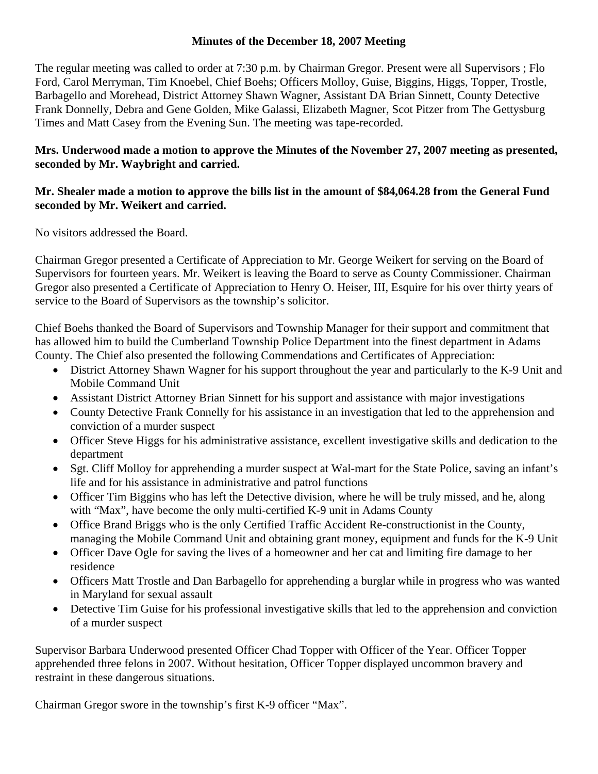### **Minutes of the December 18, 2007 Meeting**

The regular meeting was called to order at 7:30 p.m. by Chairman Gregor. Present were all Supervisors ; Flo Ford, Carol Merryman, Tim Knoebel, Chief Boehs; Officers Molloy, Guise, Biggins, Higgs, Topper, Trostle, Barbagello and Morehead, District Attorney Shawn Wagner, Assistant DA Brian Sinnett, County Detective Frank Donnelly, Debra and Gene Golden, Mike Galassi, Elizabeth Magner, Scot Pitzer from The Gettysburg Times and Matt Casey from the Evening Sun. The meeting was tape-recorded.

# **Mrs. Underwood made a motion to approve the Minutes of the November 27, 2007 meeting as presented, seconded by Mr. Waybright and carried.**

### **Mr. Shealer made a motion to approve the bills list in the amount of \$84,064.28 from the General Fund seconded by Mr. Weikert and carried.**

No visitors addressed the Board.

Chairman Gregor presented a Certificate of Appreciation to Mr. George Weikert for serving on the Board of Supervisors for fourteen years. Mr. Weikert is leaving the Board to serve as County Commissioner. Chairman Gregor also presented a Certificate of Appreciation to Henry O. Heiser, III, Esquire for his over thirty years of service to the Board of Supervisors as the township's solicitor.

Chief Boehs thanked the Board of Supervisors and Township Manager for their support and commitment that has allowed him to build the Cumberland Township Police Department into the finest department in Adams County. The Chief also presented the following Commendations and Certificates of Appreciation:

- District Attorney Shawn Wagner for his support throughout the year and particularly to the K-9 Unit and Mobile Command Unit
- Assistant District Attorney Brian Sinnett for his support and assistance with major investigations
- County Detective Frank Connelly for his assistance in an investigation that led to the apprehension and conviction of a murder suspect
- Officer Steve Higgs for his administrative assistance, excellent investigative skills and dedication to the department
- Sgt. Cliff Molloy for apprehending a murder suspect at Wal-mart for the State Police, saving an infant's life and for his assistance in administrative and patrol functions
- Officer Tim Biggins who has left the Detective division, where he will be truly missed, and he, along with "Max", have become the only multi-certified K-9 unit in Adams County
- Office Brand Briggs who is the only Certified Traffic Accident Re-constructionist in the County, managing the Mobile Command Unit and obtaining grant money, equipment and funds for the K-9 Unit
- Officer Dave Ogle for saving the lives of a homeowner and her cat and limiting fire damage to her residence
- Officers Matt Trostle and Dan Barbagello for apprehending a burglar while in progress who was wanted in Maryland for sexual assault
- Detective Tim Guise for his professional investigative skills that led to the apprehension and conviction of a murder suspect

Supervisor Barbara Underwood presented Officer Chad Topper with Officer of the Year. Officer Topper apprehended three felons in 2007. Without hesitation, Officer Topper displayed uncommon bravery and restraint in these dangerous situations.

Chairman Gregor swore in the township's first K-9 officer "Max".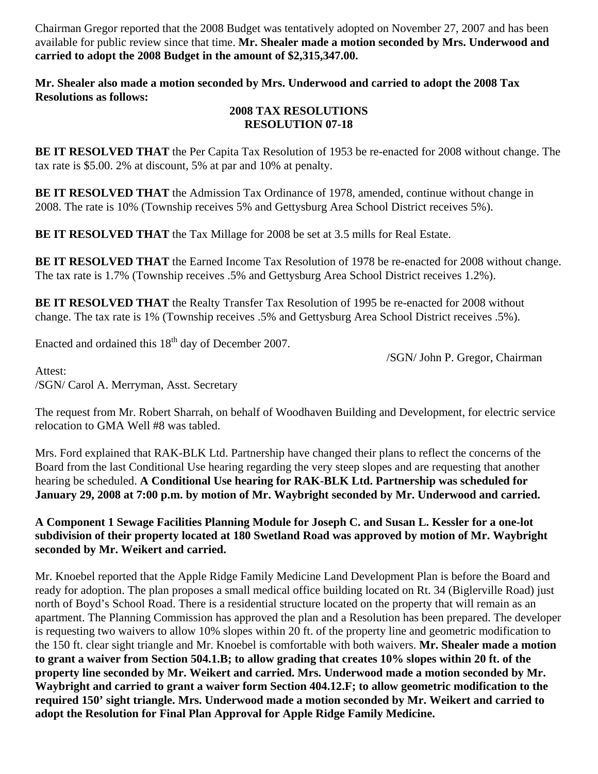Chairman Gregor reported that the 2008 Budget was tentatively adopted on November 27, 2007 and has been available for public review since that time. **Mr. Shealer made a motion seconded by Mrs. Underwood and carried to adopt the 2008 Budget in the amount of \$2,315,347.00.** 

**Mr. Shealer also made a motion seconded by Mrs. Underwood and carried to adopt the 2008 Tax Resolutions as follows:** 

#### **2008 TAX RESOLUTIONS RESOLUTION 07-18**

**BE IT RESOLVED THAT** the Per Capita Tax Resolution of 1953 be re-enacted for 2008 without change. The tax rate is \$5.00. 2% at discount, 5% at par and 10% at penalty.

**BE IT RESOLVED THAT** the Admission Tax Ordinance of 1978, amended, continue without change in 2008. The rate is 10% (Township receives 5% and Gettysburg Area School District receives 5%).

**BE IT RESOLVED THAT** the Tax Millage for 2008 be set at 3.5 mills for Real Estate.

**BE IT RESOLVED THAT** the Earned Income Tax Resolution of 1978 be re-enacted for 2008 without change. The tax rate is 1.7% (Township receives .5% and Gettysburg Area School District receives 1.2%).

**BE IT RESOLVED THAT** the Realty Transfer Tax Resolution of 1995 be re-enacted for 2008 without change. The tax rate is 1% (Township receives .5% and Gettysburg Area School District receives .5%).

Enacted and ordained this 18<sup>th</sup> day of December 2007.

/SGN/ John P. Gregor, Chairman

Attest: /SGN/ Carol A. Merryman, Asst. Secretary

The request from Mr. Robert Sharrah, on behalf of Woodhaven Building and Development, for electric service relocation to GMA Well #8 was tabled.

Mrs. Ford explained that RAK-BLK Ltd. Partnership have changed their plans to reflect the concerns of the Board from the last Conditional Use hearing regarding the very steep slopes and are requesting that another hearing be scheduled. **A Conditional Use hearing for RAK-BLK Ltd. Partnership was scheduled for January 29, 2008 at 7:00 p.m. by motion of Mr. Waybright seconded by Mr. Underwood and carried.** 

**A Component 1 Sewage Facilities Planning Module for Joseph C. and Susan L. Kessler for a one-lot subdivision of their property located at 180 Swetland Road was approved by motion of Mr. Waybright seconded by Mr. Weikert and carried.** 

Mr. Knoebel reported that the Apple Ridge Family Medicine Land Development Plan is before the Board and ready for adoption. The plan proposes a small medical office building located on Rt. 34 (Biglerville Road) just north of Boyd's School Road. There is a residential structure located on the property that will remain as an apartment. The Planning Commission has approved the plan and a Resolution has been prepared. The developer is requesting two waivers to allow 10% slopes within 20 ft. of the property line and geometric modification to the 150 ft. clear sight triangle and Mr. Knoebel is comfortable with both waivers. **Mr. Shealer made a motion to grant a waiver from Section 504.1.B; to allow grading that creates 10% slopes within 20 ft. of the property line seconded by Mr. Weikert and carried. Mrs. Underwood made a motion seconded by Mr. Waybright and carried to grant a waiver form Section 404.12.F; to allow geometric modification to the required 150' sight triangle. Mrs. Underwood made a motion seconded by Mr. Weikert and carried to adopt the Resolution for Final Plan Approval for Apple Ridge Family Medicine.**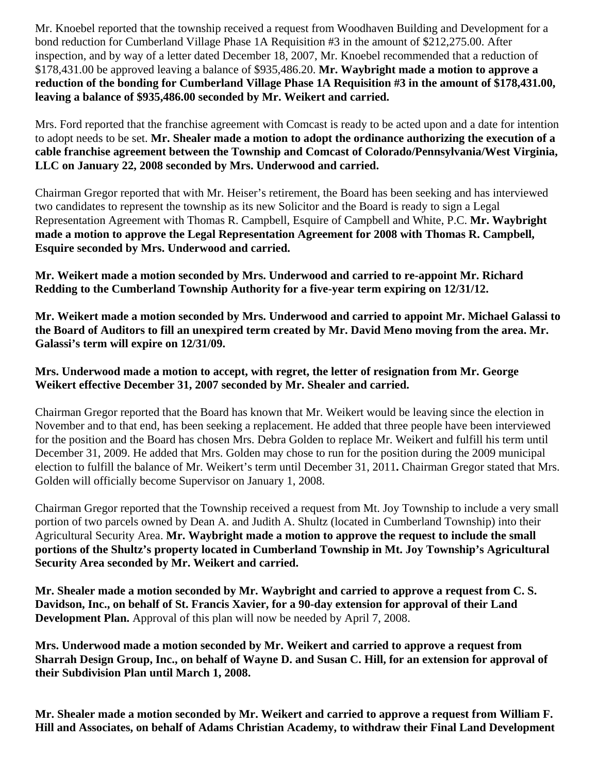Mr. Knoebel reported that the township received a request from Woodhaven Building and Development for a bond reduction for Cumberland Village Phase 1A Requisition #3 in the amount of \$212,275.00. After inspection, and by way of a letter dated December 18, 2007, Mr. Knoebel recommended that a reduction of \$178,431.00 be approved leaving a balance of \$935,486.20. **Mr. Waybright made a motion to approve a reduction of the bonding for Cumberland Village Phase 1A Requisition #3 in the amount of \$178,431.00, leaving a balance of \$935,486.00 seconded by Mr. Weikert and carried.** 

Mrs. Ford reported that the franchise agreement with Comcast is ready to be acted upon and a date for intention to adopt needs to be set. **Mr. Shealer made a motion to adopt the ordinance authorizing the execution of a cable franchise agreement between the Township and Comcast of Colorado/Pennsylvania/West Virginia, LLC on January 22, 2008 seconded by Mrs. Underwood and carried.** 

Chairman Gregor reported that with Mr. Heiser's retirement, the Board has been seeking and has interviewed two candidates to represent the township as its new Solicitor and the Board is ready to sign a Legal Representation Agreement with Thomas R. Campbell, Esquire of Campbell and White, P.C. **Mr. Waybright made a motion to approve the Legal Representation Agreement for 2008 with Thomas R. Campbell, Esquire seconded by Mrs. Underwood and carried.** 

**Mr. Weikert made a motion seconded by Mrs. Underwood and carried to re-appoint Mr. Richard Redding to the Cumberland Township Authority for a five-year term expiring on 12/31/12.** 

**Mr. Weikert made a motion seconded by Mrs. Underwood and carried to appoint Mr. Michael Galassi to the Board of Auditors to fill an unexpired term created by Mr. David Meno moving from the area. Mr. Galassi's term will expire on 12/31/09.** 

**Mrs. Underwood made a motion to accept, with regret, the letter of resignation from Mr. George Weikert effective December 31, 2007 seconded by Mr. Shealer and carried.** 

Chairman Gregor reported that the Board has known that Mr. Weikert would be leaving since the election in November and to that end, has been seeking a replacement. He added that three people have been interviewed for the position and the Board has chosen Mrs. Debra Golden to replace Mr. Weikert and fulfill his term until December 31, 2009. He added that Mrs. Golden may chose to run for the position during the 2009 municipal election to fulfill the balance of Mr. Weikert's term until December 31, 2011**.** Chairman Gregor stated that Mrs. Golden will officially become Supervisor on January 1, 2008.

Chairman Gregor reported that the Township received a request from Mt. Joy Township to include a very small portion of two parcels owned by Dean A. and Judith A. Shultz (located in Cumberland Township) into their Agricultural Security Area. **Mr. Waybright made a motion to approve the request to include the small portions of the Shultz's property located in Cumberland Township in Mt. Joy Township's Agricultural Security Area seconded by Mr. Weikert and carried.** 

**Mr. Shealer made a motion seconded by Mr. Waybright and carried to approve a request from C. S. Davidson, Inc., on behalf of St. Francis Xavier, for a 90-day extension for approval of their Land Development Plan.** Approval of this plan will now be needed by April 7, 2008.

**Mrs. Underwood made a motion seconded by Mr. Weikert and carried to approve a request from Sharrah Design Group, Inc., on behalf of Wayne D. and Susan C. Hill, for an extension for approval of their Subdivision Plan until March 1, 2008.** 

**Mr. Shealer made a motion seconded by Mr. Weikert and carried to approve a request from William F. Hill and Associates, on behalf of Adams Christian Academy, to withdraw their Final Land Development**